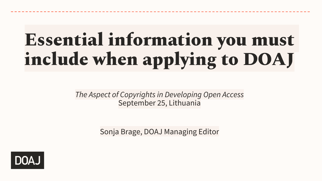# Essential information you must include when applying to DOAJ

*The Aspect of Copyrights in Developing Open Access* September 25, Lithuania

Sonja Brage, DOAJ Managing Editor

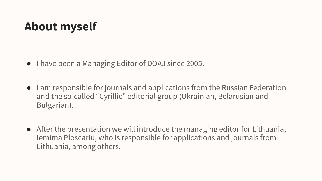#### **About myself**

- I have been a Managing Editor of DOAJ since 2005.
- I am responsible for journals and applications from the Russian Federation and the so-called "Cyrillic" editorial group (Ukrainian, Belarusian and Bulgarian).
- After the presentation we will introduce the managing editor for Lithuania, Iemima Ploscariu, who is responsible for applications and journals from Lithuania, among others.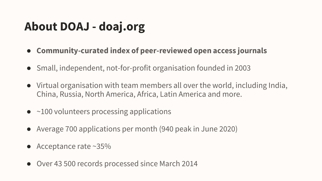### **About DOAJ - doaj.org**

- **Community-curated index of peer-reviewed open access journals**
- Small, independent, not-for-profit organisation founded in 2003
- Virtual organisation with team members all over the world, including India, China, Russia, North America, Africa, Latin America and more.
- $\bullet$  ~100 volunteers processing applications
- Average 700 applications per month (940 peak in June 2020)
- Acceptance rate  $\sim$ 35%
- Over 43 500 records processed since March 2014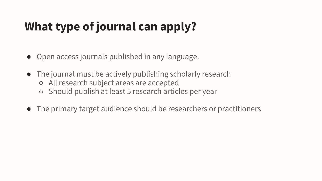# **What type of journal can apply?**

- Open access journals published in any language.
- The journal must be actively publishing scholarly research ○ All research subject areas are accepted ○ Should publish at least 5 research articles per year
- The primary target audience should be researchers or practitioners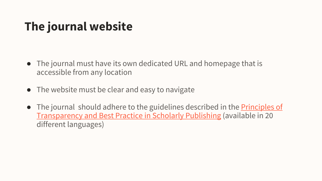# **The journal website**

- The journal must have its own dedicated URL and homepage that is accessible from any location
- The website must be clear and easy to navigate
- The journal should adhere to the guidelines described in the **Principles of** Transparency and Best Practice in Scholarly Publishing (available in 20 different languages)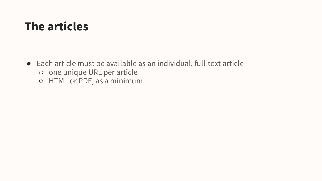#### **The articles**

● Each article must be available as an individual, full-text article ○ one unique URL per article ○ HTML or PDF, as a minimum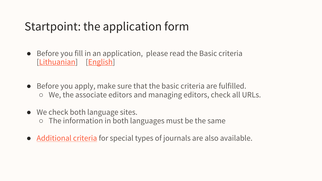#### Startpoint: the application form

- Before you fill in an application, please read the Basic criteria [\[Lithuanian\]](https://drive.google.com/file/d/1f7YXn6cXGXhDH9AbPJyOiM7_tHVRMe4j/view?usp=sharing) [[English\]](https://docs.google.com/document/d/1i_-RDOC06r9EqQn8De_MRUTFvKiOHMlDU0sYU6r10Pc/edit?usp=sharing)
- Before you apply, make sure that the basic criteria are fulfilled. ○ We, the associate editors and managing editors, check all URLs.
- We check both language sites. ○ The information in both languages must be the same
- [Additional criteria](https://docs.google.com/document/d/1-z4Nq2r7jtGrJtmNLxmx9AZchHreihhu58Gce4mc5BU/edit?usp=sharing) for special types of journals are also available.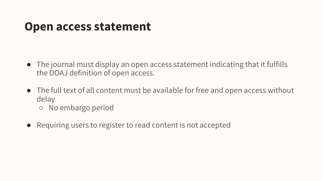#### **Open access statement**

- The journal must display an open access statement indicating that it fulfills the DOAJ definition of open access.
- The full text of all content must be available for free and open access without delay
	- No embargo period
- Requiring users to register to read content is not accepted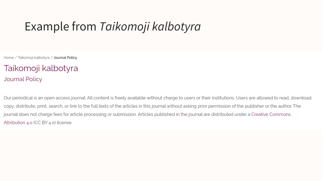#### Example from *Taikomoji kalbotyra*

Home / Taikomoji kalbotyra / Journal Policy

Taikomoji kalbotyra **Journal Policy** 

Our periodical is an open access journal. All content is freely available without charge to users or their institutions. Users are allowed to read, download, copy, distribute, print, search, or link to the full texts of the articles in this journal without asking prior permission of the publisher or the author. The journal does not charge fees for article processing or submission. Articles published in the journal are distributed under a Creative Commons Attribution 4.0 (CC BY 4.0) license.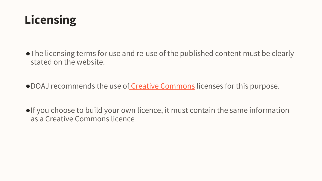

- ●The licensing terms for use and re-use of the published content must be clearly stated on the website.
- DOAJ recommends the use of [Creative Commons](https://creativecommons.org/) licenses for this purpose.
- ●If you choose to build your own licence, it must contain the same information as a Creative Commons licence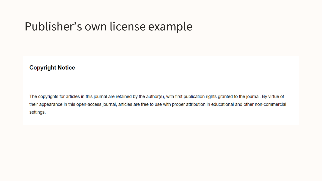#### Publisher's own license example

#### **Copyright Notice**

The copyrights for articles in this journal are retained by the author(s), with first publication rights granted to the journal. By virtue of their appearance in this open-access journal, articles are free to use with proper attribution in educational and other non-commercial settings.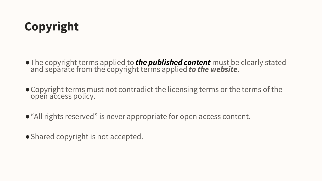# **Copyright**

- ●The copyright terms applied to *the published content* must be clearly stated and separate from the copyright terms applied *to the website*.
- ●Copyright terms must not contradict the licensing terms or the terms of the open access policy.
- "All rights reserved" is never appropriate for open access content.
- Shared copyright is not accepted.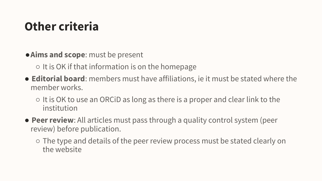## **Other criteria**

- ●**Aims and scope**: must be present
	- It is OK if that information is on the homepage
- **Editorial board**: members must have affiliations, ie it must be stated where the member works.
	- It is OK to use an ORCiD as long as there is a proper and clear link to the institution
- **Peer review**: All articles must pass through a quality control system (peer review) before publication.
	- The type and details of the peer review process must be stated clearly on the website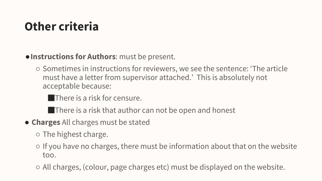# **Other criteria**

#### ●**Instructions for Authors**: must be present.

○ Sometimes in instructions for reviewers, we see the sentence: 'The article must have a letter from supervisor attached.' This is absolutely not acceptable because:

**There is a risk for censure.** 

**There is a risk that author can not be open and honest** 

● **Charges** All charges must be stated

○ The highest charge.

- If you have no charges, there must be information about that on the website too.
- All charges, (colour, page charges etc) must be displayed on the website.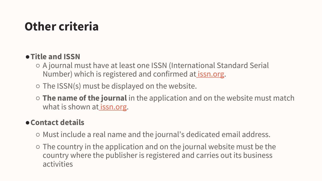# **Other criteria**

#### ●**Title and ISSN**

- A journal must have at least one ISSN (International Standard Serial Number) which is registered and confirmed at [issn.org](https://portal.issn.org/).
- $\circ$  The ISSN(s) must be displayed on the website.
- **The name of the journal** in the application and on the website must match what is shown at *[issn.org.](https://portal.issn.org/)*

#### ●**Contact details**

- Must include a real name and the journal's dedicated email address.
- The country in the application and on the journal website must be the country where the publisher is registered and carries out its business activities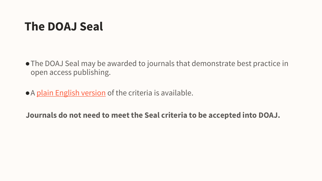#### **The DOAJ Seal**

- ●The DOAJ Seal may be awarded to journals that demonstrate best practice in open access publishing.
- A [plain English version](https://docs.google.com/document/d/1RrR6jmA18wrawBZ1GTbB98oJq6Ij-cAx04deeq2KaM4/edit?usp=sharing) of the criteria is available.

**Journals do not need to meet the Seal criteria to be accepted into DOAJ.**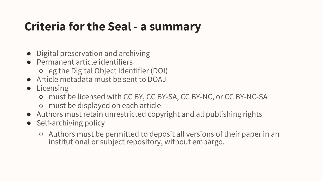#### **Criteria for the Seal - a summary**

- Digital preservation and archiving
- Permanent article identifiers ○ eg the Digital Object Identifier (DOI)
- Article metadata must be sent to DOAJ
- Licensing
	- must be licensed with CC BY, CC BY-SA, CC BY-NC, or CC BY-NC-SA
	- must be displayed on each article
- Authors must retain unrestricted copyright and all publishing rights
- Self-archiving policy
	- Authors must be permitted to deposit all versions of their paper in an institutional or subject repository, without embargo.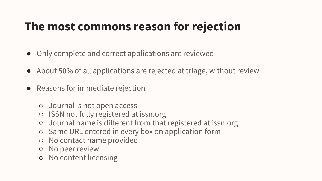# **The most commons reason for rejection**

- Only complete and correct applications are reviewed
- About 50% of all applications are rejected at triage, without review
- Reasons for immediate rejection
	- Journal is not open access
	- ISSN not fully registered at issn.org
	- Journal name is different from that registered at issn.org
	- Same URL entered in every box on application form
	- No contact name provided
	- No peer review
	- No content licensing